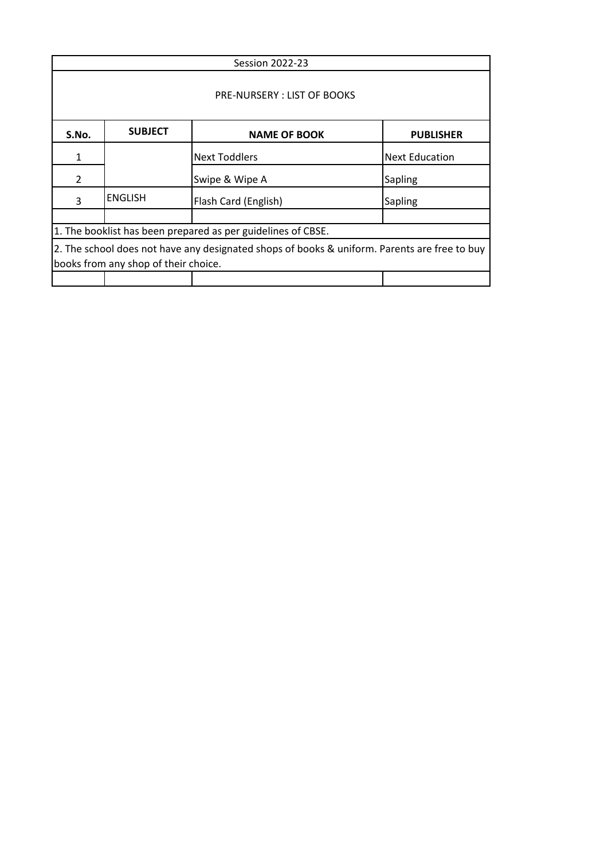| <b>Session 2022-23</b>                                                                                                               |                                                           |                      |                       |  |
|--------------------------------------------------------------------------------------------------------------------------------------|-----------------------------------------------------------|----------------------|-----------------------|--|
| <b>PRE-NURSERY: LIST OF BOOKS</b>                                                                                                    |                                                           |                      |                       |  |
| S.No.                                                                                                                                | <b>SUBJECT</b><br><b>NAME OF BOOK</b><br><b>PUBLISHER</b> |                      |                       |  |
| 1                                                                                                                                    |                                                           | <b>Next Toddlers</b> | <b>Next Education</b> |  |
| 2                                                                                                                                    |                                                           | Swipe & Wipe A       | <b>Sapling</b>        |  |
| 3                                                                                                                                    | <b>ENGLISH</b>                                            | Flash Card (English) | Sapling               |  |
|                                                                                                                                      |                                                           |                      |                       |  |
| 1. The booklist has been prepared as per guidelines of CBSE.                                                                         |                                                           |                      |                       |  |
| 2. The school does not have any designated shops of books & uniform. Parents are free to buy<br>books from any shop of their choice. |                                                           |                      |                       |  |
|                                                                                                                                      |                                                           |                      |                       |  |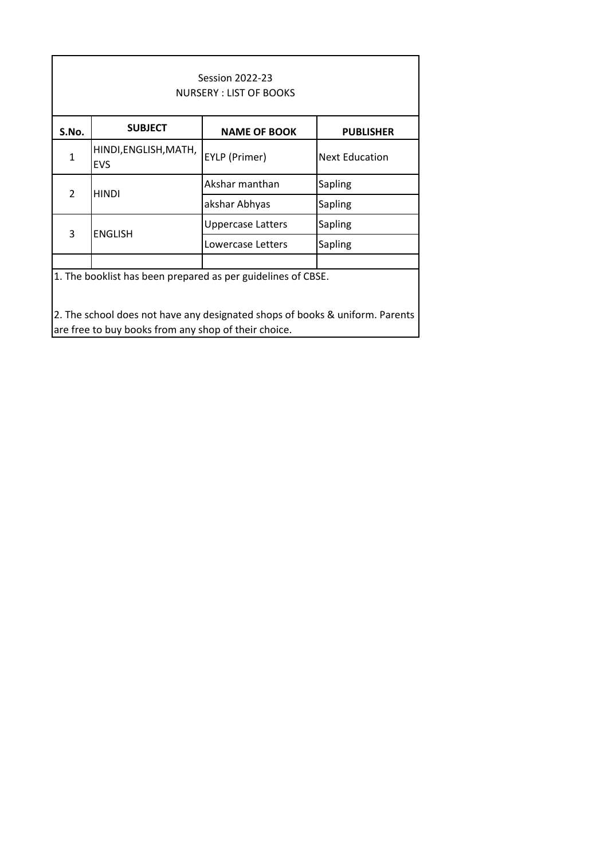| <b>Session 2022-23</b><br>NURSERY: LIST OF BOOKS                                                                                     |                                     |                     |                       |
|--------------------------------------------------------------------------------------------------------------------------------------|-------------------------------------|---------------------|-----------------------|
| S.No.                                                                                                                                | <b>SUBJECT</b>                      | <b>NAME OF BOOK</b> | <b>PUBLISHER</b>      |
| $\mathbf{1}$                                                                                                                         | HINDI, ENGLISH, MATH,<br><b>EVS</b> | EYLP (Primer)       | <b>Next Education</b> |
| $\overline{2}$                                                                                                                       | <b>HINDI</b>                        | Akshar manthan      | Sapling               |
|                                                                                                                                      |                                     | akshar Abhyas       | Sapling               |
| 3                                                                                                                                    | <b>ENGLISH</b>                      | Uppercase Latters   | Sapling               |
|                                                                                                                                      |                                     | Lowercase Letters   | Sapling               |
|                                                                                                                                      |                                     |                     |                       |
| 1. The booklist has been prepared as per guidelines of CBSE.                                                                         |                                     |                     |                       |
| 2. The school does not have any designated shops of books & uniform. Parents<br>are free to buy books from any shop of their choice. |                                     |                     |                       |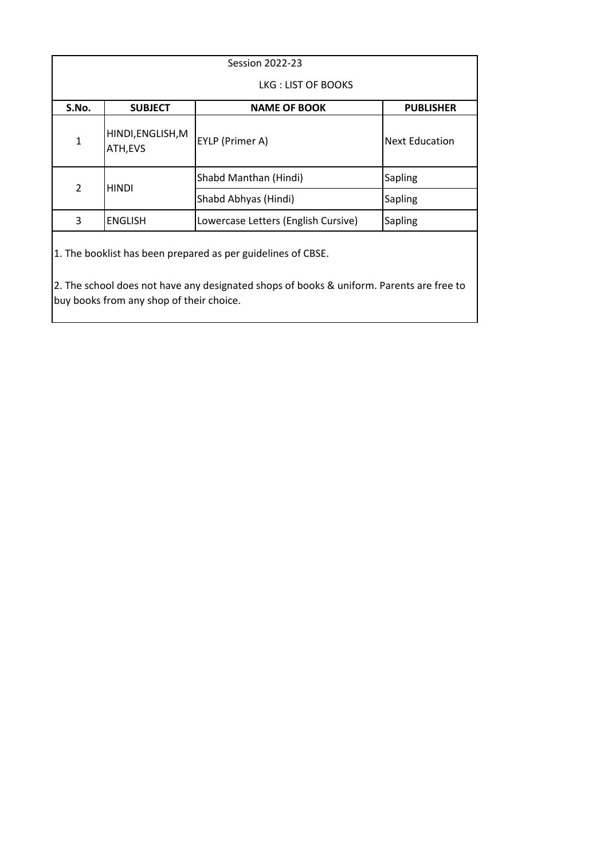| <b>Session 2022-23</b>                                                                                                                                                                               |                                     |                       |  |
|------------------------------------------------------------------------------------------------------------------------------------------------------------------------------------------------------|-------------------------------------|-----------------------|--|
| LKG: LIST OF BOOKS                                                                                                                                                                                   |                                     |                       |  |
| <b>SUBJECT</b>                                                                                                                                                                                       | <b>NAME OF BOOK</b>                 | <b>PUBLISHER</b>      |  |
| HINDI, ENGLISH, M<br>ATH, EVS                                                                                                                                                                        | EYLP (Primer A)                     | <b>Next Education</b> |  |
| <b>HINDI</b>                                                                                                                                                                                         | Shabd Manthan (Hindi)               | <b>Sapling</b>        |  |
|                                                                                                                                                                                                      | Shabd Abhyas (Hindi)                | <b>Sapling</b>        |  |
| <b>ENGLISH</b>                                                                                                                                                                                       | Lowercase Letters (English Cursive) | <b>Sapling</b>        |  |
| 1. The booklist has been prepared as per guidelines of CBSE.<br>2. The school does not have any designated shops of books & uniform. Parents are free to<br>buy books from any shop of their choice. |                                     |                       |  |
|                                                                                                                                                                                                      |                                     |                       |  |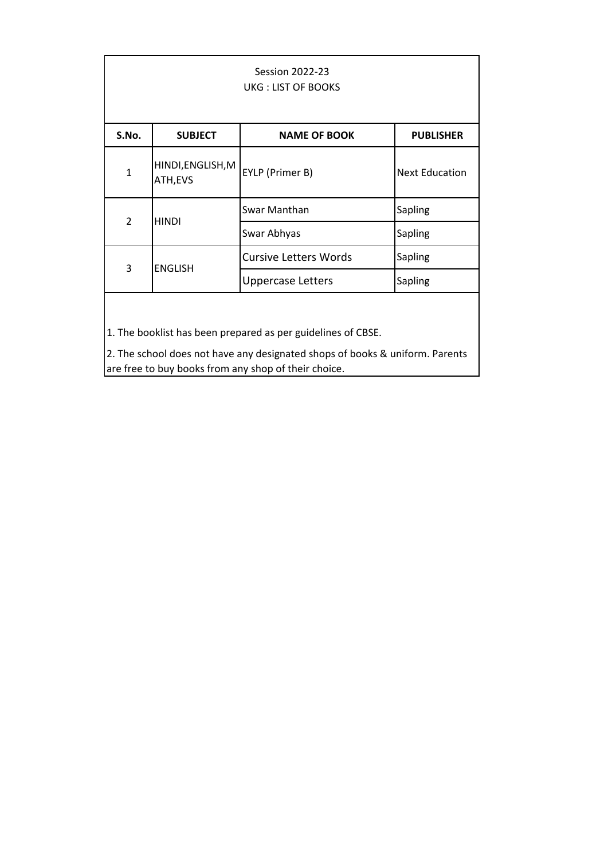| <b>Session 2022-23</b><br>UKG: LIST OF BOOKS |                               |                              |                       |
|----------------------------------------------|-------------------------------|------------------------------|-----------------------|
| S.No.                                        | <b>SUBJECT</b>                | <b>NAME OF BOOK</b>          | <b>PUBLISHER</b>      |
| $\mathbf{1}$                                 | HINDI, ENGLISH, M<br>ATH, EVS | EYLP (Primer B)              | <b>Next Education</b> |
| $\overline{2}$                               | <b>HINDI</b>                  | Swar Manthan                 | Sapling               |
|                                              |                               | Swar Abhyas                  | Sapling               |
| 3                                            | <b>ENGLISH</b>                | <b>Cursive Letters Words</b> | Sapling               |
|                                              |                               | <b>Uppercase Letters</b>     | Sapling               |
|                                              |                               |                              |                       |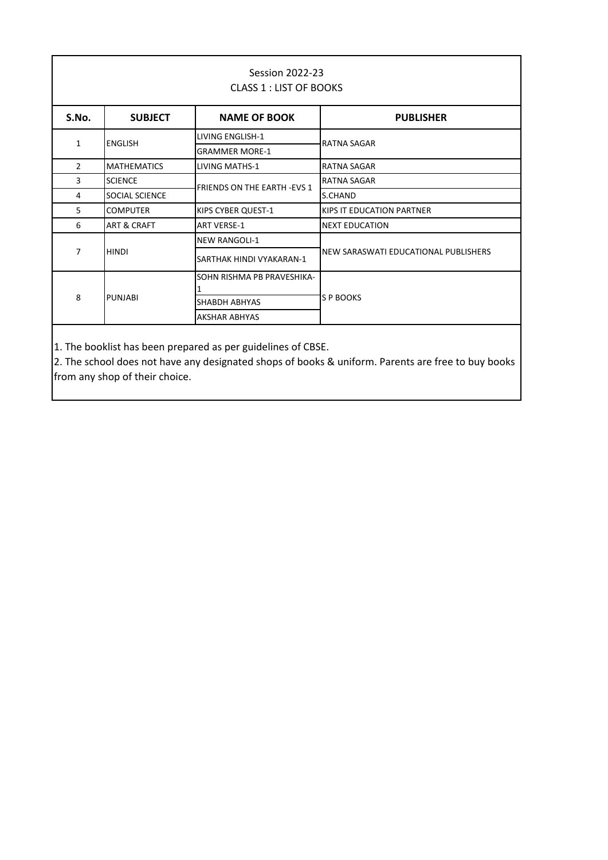| <b>Session 2022-23</b><br><b>CLASS 1 : LIST OF BOOKS</b> |                        |                                     |                                      |  |
|----------------------------------------------------------|------------------------|-------------------------------------|--------------------------------------|--|
| S.No.                                                    | <b>SUBJECT</b>         | <b>NAME OF BOOK</b>                 | <b>PUBLISHER</b>                     |  |
| $\mathbf{1}$                                             | <b>ENGLISH</b>         | LIVING ENGLISH-1                    | RATNA SAGAR                          |  |
|                                                          |                        | <b>GRAMMER MORE-1</b>               |                                      |  |
| $\overline{2}$                                           | <b>MATHEMATICS</b>     | <b>LIVING MATHS-1</b>               | <b>RATNA SAGAR</b>                   |  |
| 3                                                        | <b>SCIENCE</b>         | <b>FRIENDS ON THE EARTH - EVS 1</b> | <b>RATNA SAGAR</b>                   |  |
| 4                                                        | SOCIAL SCIENCE         |                                     | S.CHAND                              |  |
| 5                                                        | <b>COMPUTER</b>        | KIPS CYBER QUEST-1                  | KIPS IT EDUCATION PARTNER            |  |
| 6                                                        | <b>ART &amp; CRAFT</b> | <b>ART VERSE-1</b>                  | <b>NEXT EDUCATION</b>                |  |
|                                                          | <b>HINDI</b>           | <b>NEW RANGOLI-1</b>                |                                      |  |
| $\overline{7}$                                           |                        | SARTHAK HINDI VYAKARAN-1            | NEW SARASWATI EDUCATIONAL PUBLISHERS |  |
| 8                                                        |                        | SOHN RISHMA PB PRAVESHIKA-          |                                      |  |
|                                                          |                        | SHABDH ABHYAS                       |                                      |  |
|                                                          |                        | <b>AKSHAR ABHYAS</b>                |                                      |  |
|                                                          | PUNJABI                |                                     | S P BOOKS                            |  |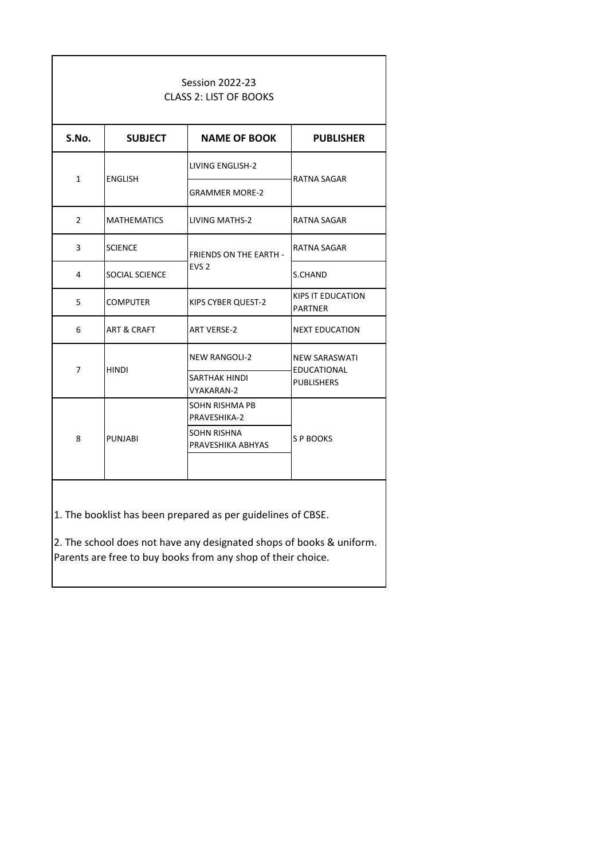| <b>Session 2022-23</b><br><b>CLASS 2: LIST OF BOOKS</b> |                                                 |                                  |                                         |  |
|---------------------------------------------------------|-------------------------------------------------|----------------------------------|-----------------------------------------|--|
| S.No.                                                   | <b>SUBJECT</b>                                  | <b>NAME OF BOOK</b>              | <b>PUBLISHER</b>                        |  |
| $\mathbf{1}$                                            | <b>ENGLISH</b>                                  | <b>LIVING ENGLISH-2</b>          | <b>RATNA SAGAR</b>                      |  |
|                                                         |                                                 | <b>GRAMMER MORE-2</b>            |                                         |  |
| $\overline{2}$                                          | <b>MATHEMATICS</b>                              | <b>LIVING MATHS-2</b>            | RATNA SAGAR                             |  |
| 3                                                       | <b>SCIENCE</b><br><b>FRIENDS ON THE EARTH -</b> |                                  | RATNA SAGAR                             |  |
| 4                                                       | <b>SOCIAL SCIENCE</b>                           | EVS <sub>2</sub>                 | S.CHAND                                 |  |
| 5                                                       | <b>COMPUTER</b>                                 | KIPS CYBER QUEST-2               | KIPS IT EDUCATION<br><b>PARTNER</b>     |  |
| 6                                                       | <b>ART &amp; CRAFT</b>                          | <b>ART VERSE-2</b>               | <b>NEXT EDUCATION</b>                   |  |
|                                                         | <b>HINDI</b>                                    | <b>NEW RANGOLI-2</b>             | <b>NEW SARASWATI</b>                    |  |
| 7                                                       |                                                 | SARTHAK HINDI<br>VYAKARAN-2      | <b>EDUCATIONAL</b><br><b>PUBLISHERS</b> |  |
| 8                                                       |                                                 | SOHN RISHMA PB<br>PRAVESHIKA-2   |                                         |  |
|                                                         | <b>PUNJABI</b>                                  | SOHN RISHNA<br>PRAVESHIKA ABHYAS | S P BOOKS                               |  |
|                                                         |                                                 |                                  |                                         |  |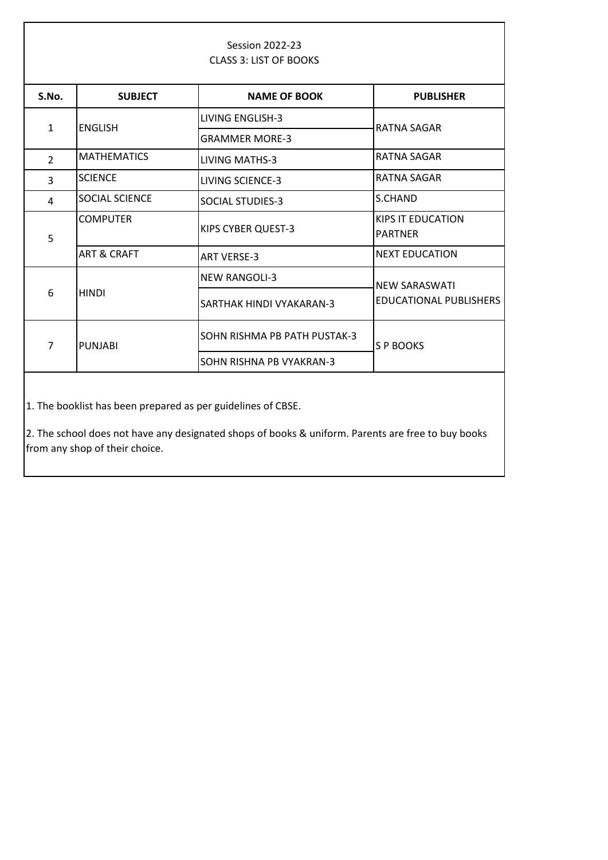| <b>Session 2022-23</b><br><b>CLASS 3: LIST OF BOOKS</b>                                                                                                                                              |                        |                              |                                            |
|------------------------------------------------------------------------------------------------------------------------------------------------------------------------------------------------------|------------------------|------------------------------|--------------------------------------------|
| S.No.                                                                                                                                                                                                | <b>SUBJECT</b>         | <b>NAME OF BOOK</b>          | <b>PUBLISHER</b>                           |
| $\mathbf{1}$                                                                                                                                                                                         | <b>ENGLISH</b>         | <b>LIVING ENGLISH-3</b>      | RATNA SAGAR                                |
|                                                                                                                                                                                                      |                        | <b>GRAMMER MORE-3</b>        |                                            |
| $\overline{2}$                                                                                                                                                                                       | <b>MATHEMATICS</b>     | <b>LIVING MATHS-3</b>        | <b>RATNA SAGAR</b>                         |
| 3                                                                                                                                                                                                    | <b>SCIENCE</b>         | <b>LIVING SCIENCE-3</b>      | <b>RATNA SAGAR</b>                         |
| 4                                                                                                                                                                                                    | SOCIAL SCIENCE         | <b>SOCIAL STUDIES-3</b>      | S.CHAND                                    |
| 5                                                                                                                                                                                                    | <b>COMPUTER</b>        | KIPS CYBER QUEST-3           | <b>KIPS IT EDUCATION</b><br><b>PARTNER</b> |
|                                                                                                                                                                                                      | <b>ART &amp; CRAFT</b> | <b>ART VERSE-3</b>           | <b>NEXT EDUCATION</b>                      |
|                                                                                                                                                                                                      | <b>HINDI</b>           | <b>NEW RANGOLI-3</b>         | <b>NEW SARASWATI</b>                       |
| 6                                                                                                                                                                                                    |                        | SARTHAK HINDI VYAKARAN-3     | <b>EDUCATIONAL PUBLISHERS</b>              |
| $\overline{7}$                                                                                                                                                                                       | <b>PUNJABI</b>         | SOHN RISHMA PB PATH PUSTAK-3 | S P BOOKS                                  |
|                                                                                                                                                                                                      |                        | SOHN RISHNA PB VYAKRAN-3     |                                            |
| 1. The booklist has been prepared as per guidelines of CBSE.<br>2. The school does not have any designated shops of books & uniform. Parents are free to buy books<br>from any shop of their choice. |                        |                              |                                            |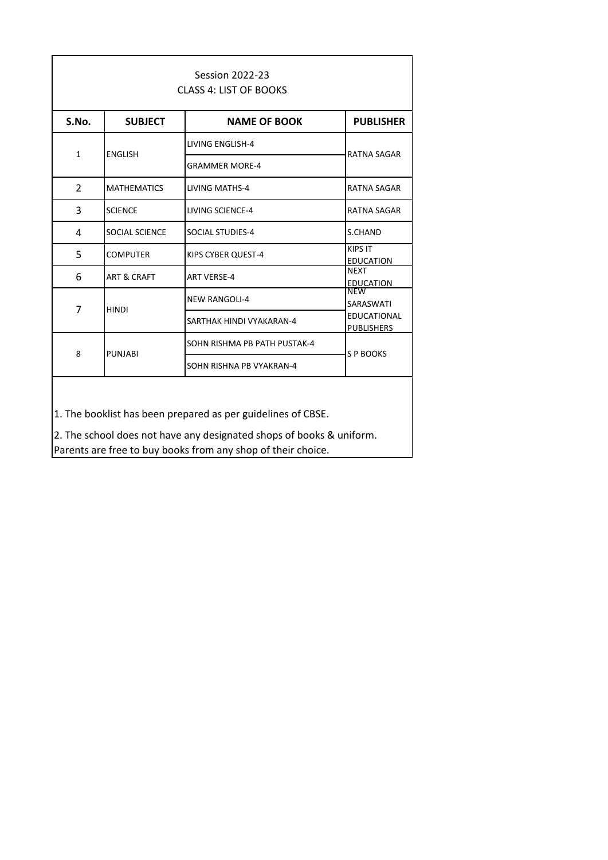| <b>Session 2022-23</b><br><b>CLASS 4: LIST OF BOOKS</b> |                        |                              |                                         |
|---------------------------------------------------------|------------------------|------------------------------|-----------------------------------------|
| S.No.                                                   | <b>SUBJECT</b>         | <b>NAME OF BOOK</b>          | <b>PUBLISHER</b>                        |
| $\mathbf{1}$                                            | <b>FNGLISH</b>         | <b>LIVING ENGLISH-4</b>      | <b>RATNA SAGAR</b>                      |
|                                                         |                        | <b>GRAMMER MORE-4</b>        |                                         |
| $\overline{2}$                                          | <b>MATHEMATICS</b>     | <b>LIVING MATHS-4</b>        | <b>RATNA SAGAR</b>                      |
| 3                                                       | <b>SCIENCE</b>         | LIVING SCIENCE-4             | RATNA SAGAR                             |
| 4                                                       | SOCIAL SCIENCE         | <b>SOCIAL STUDIES-4</b>      | S.CHAND                                 |
| 5                                                       | COMPUTER               | KIPS CYBER QUEST-4           | <b>KIPS IT</b><br><b>EDUCATION</b>      |
| 6                                                       | <b>ART &amp; CRAFT</b> | <b>ART VERSE-4</b>           | <b>NEXT</b><br><b>EDUCATION</b>         |
|                                                         | <b>HINDI</b>           | <b>NEW RANGOLI-4</b>         | NEW<br>SARASWATI                        |
| 7                                                       |                        | SARTHAK HINDI VYAKARAN-4     | <b>EDUCATIONAL</b><br><b>PUBLISHERS</b> |
|                                                         |                        | SOHN RISHMA PB PATH PUSTAK-4 |                                         |
| 8                                                       | <b>PUNJABI</b>         | SOHN RISHNA PB VYAKRAN-4     | S P BOOKS                               |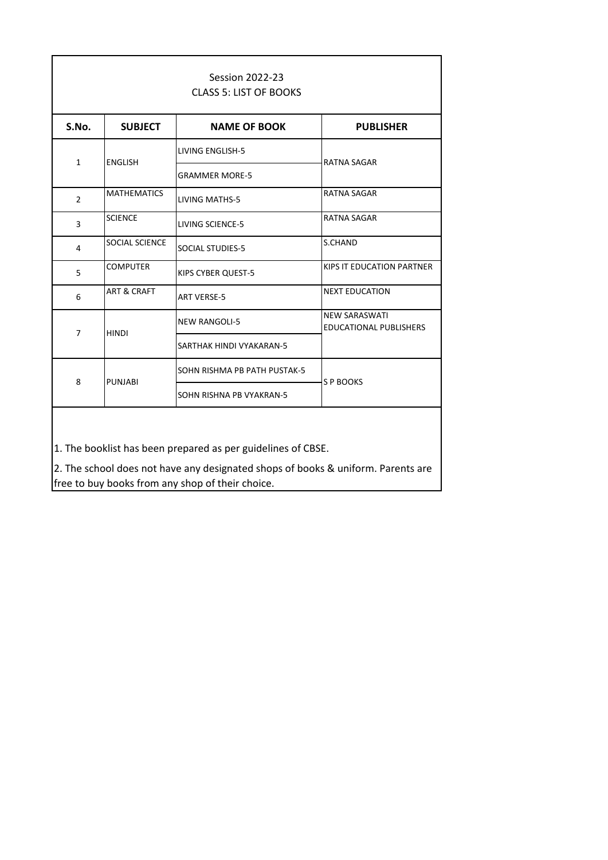| <b>Session 2022-23</b><br><b>CLASS 5: LIST OF BOOKS</b> |                        |                              |                                                |
|---------------------------------------------------------|------------------------|------------------------------|------------------------------------------------|
| S.No.                                                   | <b>SUBJECT</b>         | <b>NAME OF BOOK</b>          | <b>PUBLISHER</b>                               |
| $\mathbf{1}$                                            | <b>ENGLISH</b>         | <b>LIVING ENGLISH-5</b>      | RATNA SAGAR                                    |
|                                                         |                        | <b>GRAMMER MORE-5</b>        |                                                |
| $\overline{2}$                                          | <b>MATHEMATICS</b>     | <b>LIVING MATHS-5</b>        | <b>RATNA SAGAR</b>                             |
| 3                                                       | <b>SCIENCE</b>         | <b>LIVING SCIENCE-5</b>      | <b>RATNA SAGAR</b>                             |
| 4                                                       | <b>SOCIAL SCIENCE</b>  | SOCIAL STUDIES-5             | S.CHAND                                        |
| 5                                                       | <b>COMPUTER</b>        | KIPS CYBER QUEST-5           | KIPS IT EDUCATION PARTNER                      |
| 6                                                       | <b>ART &amp; CRAFT</b> | <b>ART VERSE-5</b>           | <b>NEXT EDUCATION</b>                          |
| $\overline{7}$                                          |                        | <b>NEW RANGOLI-5</b>         | <b>NEW SARASWATI</b><br>EDUCATIONAL PUBLISHERS |
|                                                         | <b>HINDI</b>           | SARTHAK HINDI VYAKARAN-5     |                                                |
| 8                                                       | <b>PUNJABI</b>         | SOHN RISHMA PB PATH PUSTAK-5 | S P BOOKS                                      |
|                                                         |                        | SOHN RISHNA PB VYAKRAN-5     |                                                |
|                                                         |                        |                              |                                                |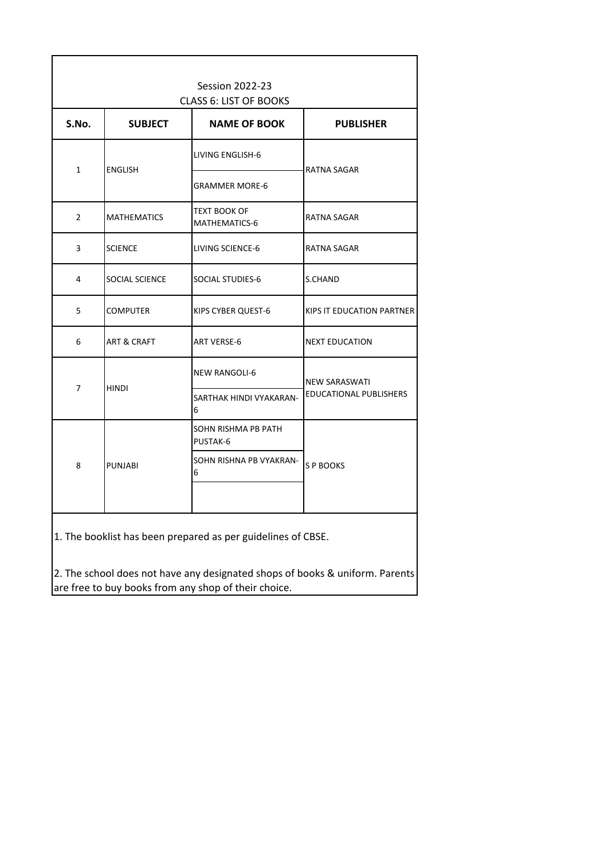| <b>Session 2022-23</b> |                        |                                                      |                               |
|------------------------|------------------------|------------------------------------------------------|-------------------------------|
| S.No.                  | <b>SUBJECT</b>         | <b>CLASS 6: LIST OF BOOKS</b><br><b>NAME OF BOOK</b> | <b>PUBLISHER</b>              |
| $\mathbf{1}$           |                        | LIVING ENGLISH-6                                     | <b>RATNA SAGAR</b>            |
|                        | <b>ENGLISH</b>         | <b>GRAMMER MORE-6</b>                                |                               |
| $\overline{2}$         | <b>MATHEMATICS</b>     | TEXT BOOK OF<br>MATHEMATICS-6                        | RATNA SAGAR                   |
| 3                      | <b>SCIENCE</b>         | LIVING SCIENCE-6                                     | RATNA SAGAR                   |
| 4                      | SOCIAL SCIENCE         | SOCIAL STUDIES-6                                     | S.CHAND                       |
| 5                      | <b>COMPUTER</b>        | KIPS CYBER QUEST-6                                   | KIPS IT EDUCATION PARTNER     |
| 6                      | <b>ART &amp; CRAFT</b> | <b>ART VERSE-6</b>                                   | <b>NEXT EDUCATION</b>         |
| 7                      | <b>HINDI</b>           | <b>NEW RANGOLI-6</b>                                 | <b>NEW SARASWATI</b>          |
|                        |                        | SARTHAK HINDI VYAKARAN-<br>6                         | <b>EDUCATIONAL PUBLISHERS</b> |
| 8                      | <b>PUNJABI</b>         | SOHN RISHMA PB PATH<br>PUSTAK-6                      |                               |
|                        |                        | SOHN RISHNA PB VYAKRAN-<br>6                         | S P BOOKS                     |
|                        |                        |                                                      |                               |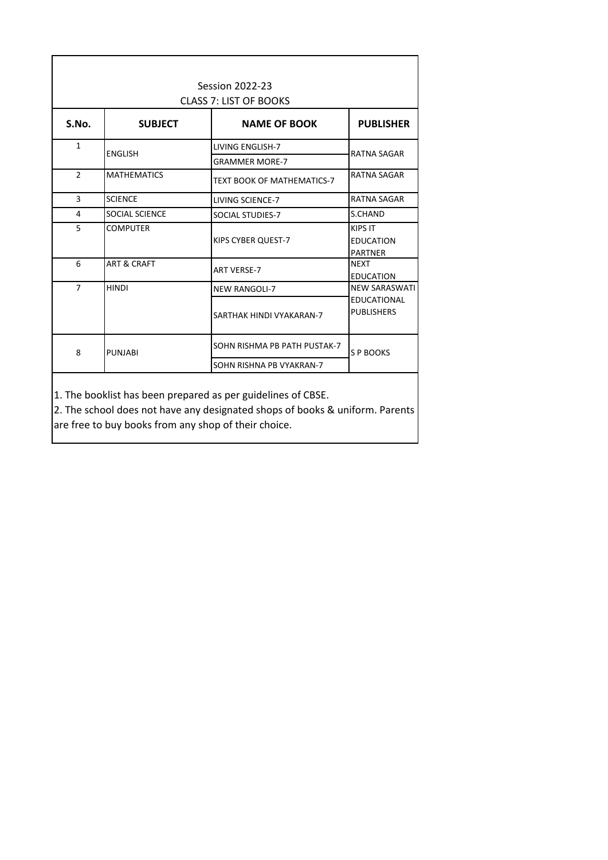| Session 2022-23<br><b>CLASS 7: LIST OF BOOKS</b> |                        |                                                  |                                                      |  |
|--------------------------------------------------|------------------------|--------------------------------------------------|------------------------------------------------------|--|
| S.No.                                            | <b>SUBJECT</b>         | <b>NAME OF BOOK</b>                              | <b>PUBLISHER</b>                                     |  |
| 1                                                | <b>ENGLISH</b>         | <b>LIVING ENGLISH-7</b><br><b>GRAMMER MORE-7</b> | RATNA SAGAR                                          |  |
| $\mathcal{P}$                                    | <b>MATHEMATICS</b>     | <b>TEXT BOOK OF MATHEMATICS-7</b>                | <b>RATNA SAGAR</b>                                   |  |
| 3                                                | <b>SCIENCE</b>         | LIVING SCIENCE-7                                 | <b>RATNA SAGAR</b>                                   |  |
| 4                                                | <b>SOCIAL SCIENCE</b>  | SOCIAL STUDIES-7                                 | S.CHAND                                              |  |
| 5                                                | <b>COMPUTER</b>        | KIPS CYBER QUEST-7                               | <b>KIPS IT</b><br><b>EDUCATION</b><br><b>PARTNER</b> |  |
| 6                                                | <b>ART &amp; CRAFT</b> | <b>ART VERSE-7</b>                               | <b>NEXT</b><br><b>EDUCATION</b>                      |  |
| $\overline{7}$                                   | <b>HINDI</b>           | <b>NEW RANGOLI-7</b>                             | <b>NEW SARASWATI</b>                                 |  |
|                                                  |                        | SARTHAK HINDI VYAKARAN-7                         | <b>EDUCATIONAL</b><br><b>PUBLISHERS</b>              |  |
| 8                                                | PUNJABI                | SOHN RISHMA PB PATH PUSTAK-7                     | S P BOOKS                                            |  |
|                                                  |                        | SOHN RISHNA PB VYAKRAN-7                         |                                                      |  |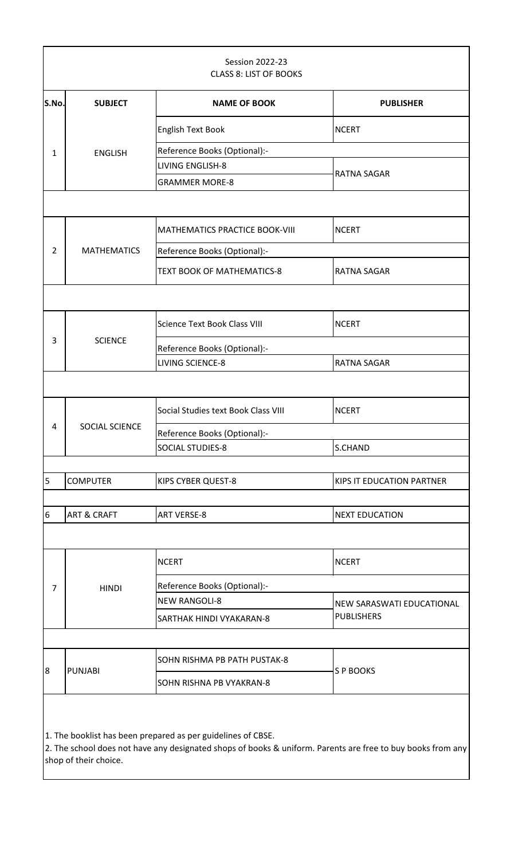| <b>Session 2022-23</b><br><b>CLASS 8: LIST OF BOOKS</b> |                                                              |                                     |                           |  |  |
|---------------------------------------------------------|--------------------------------------------------------------|-------------------------------------|---------------------------|--|--|
| S.No.                                                   | <b>SUBJECT</b>                                               | <b>NAME OF BOOK</b>                 | <b>PUBLISHER</b>          |  |  |
|                                                         |                                                              | <b>English Text Book</b>            | <b>NCERT</b>              |  |  |
| $\mathbf{1}$                                            | <b>ENGLISH</b>                                               | Reference Books (Optional):-        |                           |  |  |
|                                                         |                                                              | LIVING ENGLISH-8                    |                           |  |  |
|                                                         |                                                              | <b>GRAMMER MORE-8</b>               | RATNA SAGAR               |  |  |
|                                                         |                                                              |                                     |                           |  |  |
|                                                         |                                                              | MATHEMATICS PRACTICE BOOK-VIII      | <b>NCERT</b>              |  |  |
| $\overline{2}$                                          | <b>MATHEMATICS</b>                                           | Reference Books (Optional):-        |                           |  |  |
|                                                         |                                                              | TEXT BOOK OF MATHEMATICS-8          | <b>RATNA SAGAR</b>        |  |  |
|                                                         |                                                              |                                     |                           |  |  |
|                                                         |                                                              | <b>Science Text Book Class VIII</b> | <b>NCERT</b>              |  |  |
| 3                                                       | <b>SCIENCE</b>                                               | Reference Books (Optional):-        |                           |  |  |
|                                                         |                                                              | <b>LIVING SCIENCE-8</b>             | RATNA SAGAR               |  |  |
|                                                         |                                                              |                                     |                           |  |  |
|                                                         |                                                              | Social Studies text Book Class VIII | <b>NCERT</b>              |  |  |
| 4                                                       | SOCIAL SCIENCE                                               | Reference Books (Optional):-        |                           |  |  |
|                                                         |                                                              | <b>SOCIAL STUDIES-8</b>             | S.CHAND                   |  |  |
|                                                         |                                                              |                                     |                           |  |  |
| 5                                                       | <b>COMPUTER</b>                                              | <b>KIPS CYBER QUEST-8</b>           | KIPS IT EDUCATION PARTNER |  |  |
|                                                         |                                                              |                                     |                           |  |  |
| $6\overline{6}$                                         | <b>ART &amp; CRAFT</b>                                       | <b>ART VERSE-8</b>                  | <b>NEXT EDUCATION</b>     |  |  |
|                                                         |                                                              |                                     |                           |  |  |
|                                                         |                                                              | <b>NCERT</b>                        | <b>NCERT</b>              |  |  |
| 7                                                       | <b>HINDI</b>                                                 | Reference Books (Optional):-        |                           |  |  |
|                                                         |                                                              | <b>NEW RANGOLI-8</b>                | NEW SARASWATI EDUCATIONAL |  |  |
|                                                         |                                                              | SARTHAK HINDI VYAKARAN-8            | <b>PUBLISHERS</b>         |  |  |
|                                                         |                                                              |                                     |                           |  |  |
| 8                                                       |                                                              | SOHN RISHMA PB PATH PUSTAK-8        | S P BOOKS                 |  |  |
|                                                         | <b>PUNJABI</b>                                               | SOHN RISHNA PB VYAKRAN-8            |                           |  |  |
|                                                         | 1. The booklist has been prepared as per guidelines of CBSE. |                                     |                           |  |  |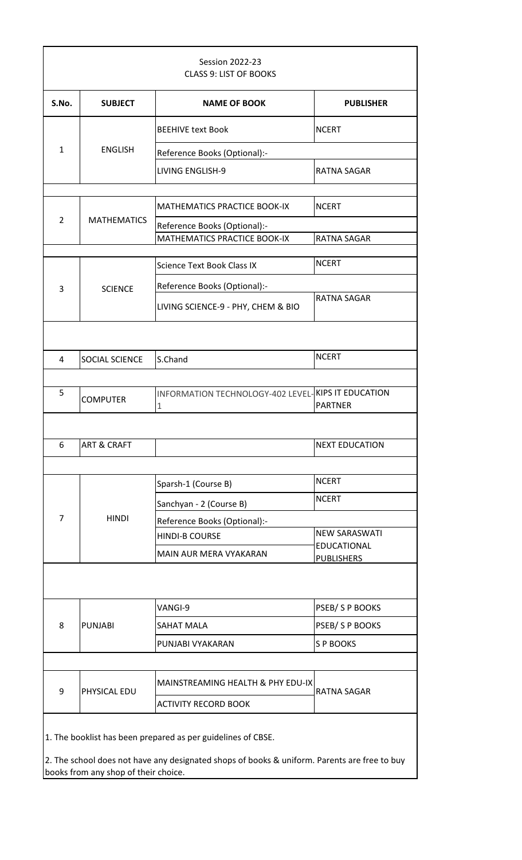| <b>Session 2022-23</b><br><b>CLASS 9: LIST OF BOOKS</b>      |                        |                                                              |                                  |  |
|--------------------------------------------------------------|------------------------|--------------------------------------------------------------|----------------------------------|--|
| S.No.                                                        | <b>SUBJECT</b>         | <b>NAME OF BOOK</b>                                          | <b>PUBLISHER</b>                 |  |
| $\mathbf{1}$                                                 |                        | <b>BEEHIVE text Book</b>                                     | <b>NCERT</b>                     |  |
|                                                              | <b>ENGLISH</b>         | Reference Books (Optional):-                                 |                                  |  |
|                                                              |                        | <b>LIVING ENGLISH-9</b>                                      | <b>RATNA SAGAR</b>               |  |
| $\overline{2}$                                               | <b>MATHEMATICS</b>     | MATHEMATICS PRACTICE BOOK-IX                                 | <b>NCERT</b>                     |  |
|                                                              |                        | Reference Books (Optional):-<br>MATHEMATICS PRACTICE BOOK-IX | <b>RATNA SAGAR</b>               |  |
|                                                              |                        |                                                              |                                  |  |
|                                                              |                        | <b>Science Text Book Class IX</b>                            | <b>NCERT</b>                     |  |
| 3                                                            | <b>SCIENCE</b>         | Reference Books (Optional):-                                 |                                  |  |
|                                                              |                        | LIVING SCIENCE-9 - PHY, CHEM & BIO                           | <b>RATNA SAGAR</b>               |  |
|                                                              |                        |                                                              |                                  |  |
| 4                                                            | SOCIAL SCIENCE         | S.Chand                                                      | <b>NCERT</b>                     |  |
|                                                              |                        |                                                              |                                  |  |
| 5                                                            | <b>COMPUTER</b>        | INFORMATION TECHNOLOGY-402 LEVEL-KIPS IT EDUCATION<br>$1\,$  | <b>PARTNER</b>                   |  |
|                                                              |                        |                                                              |                                  |  |
| 6                                                            | <b>ART &amp; CRAFT</b> |                                                              | <b>NEXT EDUCATION</b>            |  |
|                                                              |                        |                                                              |                                  |  |
|                                                              |                        | Sparsh-1 (Course B)                                          | <b>NCERT</b>                     |  |
|                                                              |                        | Sanchyan - 2 (Course B)                                      | <b>NCERT</b>                     |  |
| 7                                                            | <b>HINDI</b>           | Reference Books (Optional):-                                 |                                  |  |
|                                                              |                        | <b>HINDI-B COURSE</b>                                        | <b>NEW SARASWATI</b>             |  |
|                                                              |                        | <b>MAIN AUR MERA VYAKARAN</b>                                | EDUCATIONAL<br><b>PUBLISHERS</b> |  |
|                                                              |                        |                                                              |                                  |  |
|                                                              |                        | VANGI-9                                                      | PSEB/SPBOOKS                     |  |
| 8                                                            | <b>PUNJABI</b>         | <b>SAHAT MALA</b>                                            | PSEB/SP BOOKS                    |  |
|                                                              |                        | PUNJABI VYAKARAN                                             | <b>SP BOOKS</b>                  |  |
|                                                              |                        |                                                              |                                  |  |
| 9                                                            | PHYSICAL EDU           | MAINSTREAMING HEALTH & PHY EDU-IX                            | <b>RATNA SAGAR</b>               |  |
|                                                              |                        | <b>ACTIVITY RECORD BOOK</b>                                  |                                  |  |
| 1. The booklist has been prepared as per guidelines of CBSE. |                        |                                                              |                                  |  |